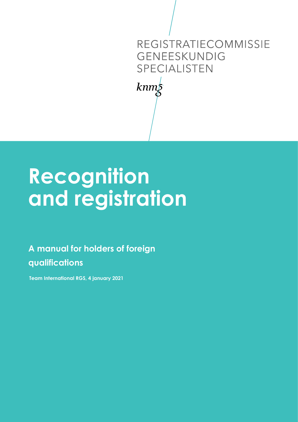### REGISTRATIECOMMISSIE GENEESKUNDIG SPECIALISTEN

 $kmm\overline{\Sigma}$ 

# Recognition and registration

A manual for holders of foreign qualifications

Team International RGS, 4 january 2021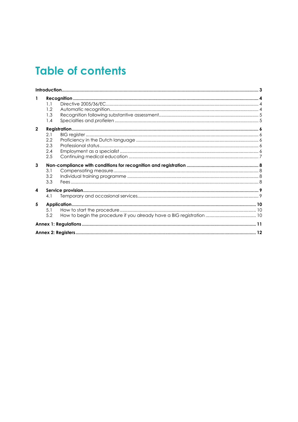# **Table of contents**

| 1              | 1.1<br>1.2<br>1.3<br>1.4        |  |  |
|----------------|---------------------------------|--|--|
| $\overline{2}$ | 2.1<br>2.2<br>2.3<br>2.4<br>2.5 |  |  |
| 3              | 3.1<br>3.2<br>3.3               |  |  |
| 4              | 4.1                             |  |  |
| 5              | 5.1<br>5.2                      |  |  |
|                |                                 |  |  |
|                |                                 |  |  |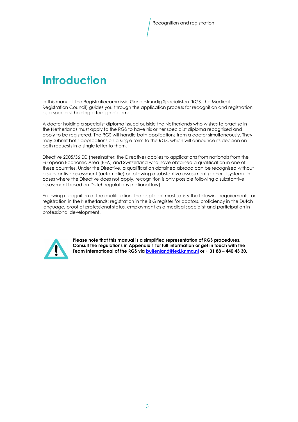### Introduction

In this manual, the Registratiecommissie Geneeskundig Specialisten (RGS, the Medical Registration Council) guides you through the application process for recognition and registration as a specialist holding a foreign diploma.

A doctor holding a specialist diploma issued outside the Netherlands who wishes to practise in the Netherlands must apply to the RGS to have his or her specialist diploma recognised and apply to be registered. The RGS will handle both applications from a doctor simultaneously. They may submit both applications on a single form to the RGS, which will announce its decision on both requests in a single letter to them.

Directive 2005/36 EC (hereinafter: the Directive) applies to applications from nationals from the European Economic Area (EEA) and Switzerland who have obtained a qualification in one of these countries. Under the Directive, a qualification obtained abroad can be recognised without a substantive assessment (automatic) or following a substantive assessment (general system). In cases where the Directive does not apply, recognition is only possible following a substantive assessment based on Dutch regulations (national law).

Following recognition of the qualification, the applicant must satisfy the following requirements for registration in the Netherlands: registration in the BIG register for doctors, proficiency in the Dutch language, proof of professional status, employment as a medical specialist and participation in professional development.



Please note that this manual is a simplified representation of RGS procedures. Consult the regulations in Appendix 1 for full information or get in touch with the Team International of the RGS via **buitenland@fed.knmg.nl** or + 31 88 - 440 43 30.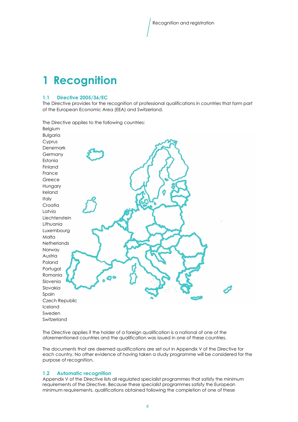## 1 Recognition

#### 1.1 Directive 2005/36/EC

The Directive provides for the recognition of professional qualifications in countries that form part of the European Economic Area (EEA) and Switzerland.

The Directive applies to the following countries: Belgium



The Directive applies if the holder of a foreign qualification is a national of one of the aforementioned countries and the qualification was issued in one of these countries.

The documents that are deemed qualifications are set out in Appendix V of the Directive for each country. No other evidence of having taken a study programme will be considered for the purpose of recognition.

#### 1.2 Automatic recognition

Appendix V of the Directive lists all regulated specialist programmes that satisfy the minimum requirements of the Directive. Because these specialist programmes satisfy the European minimum requirements, qualifications obtained following the completion of one of these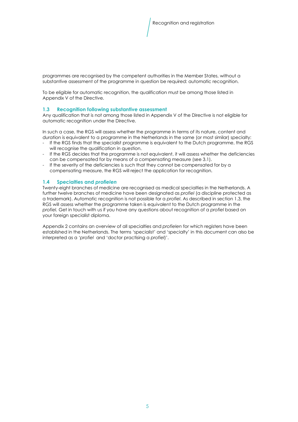programmes are recognised by the competent authorities in the Member States, without a substantive assessment of the programme in question be required: automatic recognition.

To be eligible for automatic recognition, the qualification must be among those listed in Appendix V of the Directive.

#### 1.3 Recognition following substantive assessment

Any qualification that is not among those listed in Appendix V of the Directive is not eligible for automatic recognition under the Directive.

In such a case, the RGS will assess whether the programme in terms of its nature, content and duration is equivalent to a programme in the Netherlands in the same (or most similar) specialty:

- If the RGS finds that the specialist programme is equivalent to the Dutch programme, the RGS will recognise the qualification in question.
- If the RGS decides that the programme is not equivalent, it will assess whether the deficiencies can be compensated for by means of a compensating measure (see 3.1).
- If the severity of the deficiencies is such that they cannot be compensated for by a compensating measure, the RGS will reject the application for recognition.

#### 1.4 Specialties and profielen

Twenty-eight branches of medicine are recognised as medical specialties in the Netherlands. A further twelve branches of medicine have been designated as profiel (a discipline protected as a trademark). Automatic recognition is not possible for a profiel. As described in section 1.3, the RGS will assess whether the programme taken is equivalent to the Dutch programme in the profiel. Get in touch with us if you have any questions about recognition of a profiel based on your foreign specialist diploma.

Appendix 2 contains an overview of all specialties and profielen for which registers have been established in the Netherlands. The terms 'specialist' and 'specialty' in this document can also be interpreted as a 'profiel and 'doctor practising a profiel)'.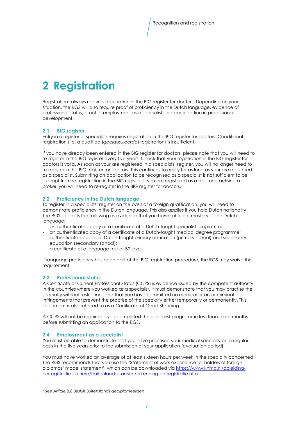# 2 Registration

Registration<sup>1</sup> always requires registration in the BIG register for doctors. Depending on your situation, the RGS will also require proof of proficiency in the Dutch language, evidence of professional status, proof of employment as a specialist and participation in professional development.

#### 2.1 BIG reaister

Entry in a register of specialists requires registration in the BIG register for doctors. Conditional registration (i.e. a qualified (geclausuleerde) registration) is insufficient.

If you have already been entered in the BIG register for doctors, please note that you will need to re-register in the BIG register every five years. Check that your registration in the BIG register for doctors is valid. As soon as your are registered in a specialists' register, you will no longer need to re-register in the BIG register for doctors. This continues to apply for as long as your are registered as a specialist. Submitting an application to be recognised as a specialist is not sufficient to be exempt from re-registration in the BIG register. If you are registered as a doctor practising a profiel, you will need to re-register in the BIG register for doctors.

#### 2.2 Proficiency in the Dutch language

To register in a specialists' register on the basis of a foreign qualification, you will need to demonstrate proficiency in the Dutch language. This also applies if you hold Dutch nationality. The RGS accepts the following as evidence that you have sufficient mastery of the Dutch language:

- an authenticated copy of a certificate of a Dutch-taught specialist programme;
- an authenticated copy of a certificate of a Dutch-taught medical degree programme;
- authenticated copies of Dutch-taught primary education (primary school) and secondary education (secondary school);
- a certificate of a language test at B2 level.

If language proficiency has been part of the BIG registration procedure, the RGS may waive this requirement.

#### 2.3 Professional status

A Certificate of Current Professional Status (CCPS) is evidence issued by the competent authority in the countries where you worked as a specialist. It must demonstrate that you may practise the specialty without restrictions and that you have committed no medical errors or criminal infringements that prevent the practise of the specialty either temporarily or permanently. This document is also referred to as a Certificate of Good Standing.

A CCPS will not be required if you completed the specialist programme less than three months before submitting an application to the RGS.

#### 2.4 Employment as a specialist

You must be able to demonstrate that you have practised your medical specialty on a regular basis in the five years prior to the submission of your application (evaluation period).

You must have worked an average of at least sixteen hours per week in the specialty concerned. The RGS recommends that you use the 'Statement of work experience for holders of foreign diplomas' model statement', which can be downloaded via https://www.knmg.nl/opleidingherregistratie-carriere/buitenlandse-artsen/erkenning-en-registratie.htm.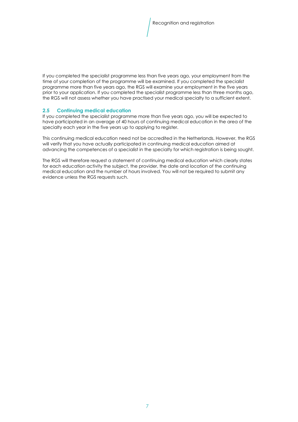If you completed the specialist programme less than five years ago, your employment from the time of your completion of the programme will be examined. If you completed the specialist programme more than five years ago, the RGS will examine your employment in the five years prior to your application. If you completed the specialist programme less than three months ago, the RGS will not assess whether you have practised your medical specialty to a sufficient extent.

#### 2.5 Continuing medical education

If you completed the specialist programme more than five years ago, you will be expected to have participated in an average of 40 hours of continuing medical education in the area of the specialty each year in the five years up to applying to register.

This continuing medical education need not be accredited in the Netherlands. However, the RGS will verify that you have actually participated in continuing medical education aimed at advancing the competences of a specialist in the specialty for which registration is being sought.

The RGS will therefore request a statement of continuing medical education which clearly states for each education activity the subject, the provider, the date and location of the continuing medical education and the number of hours involved. You will not be required to submit any evidence unless the RGS requests such.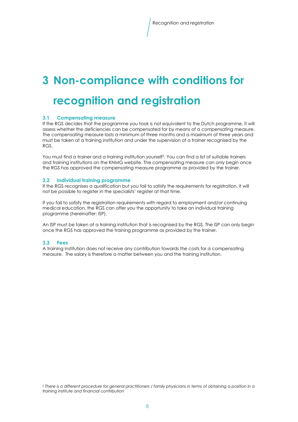### 3 Non-compliance with conditions for

### recognition and registration

#### 3.1 Compensating measure

If the RGS decides that the programme you took is not equivalent to the Dutch programme, it will assess whether the deficiencies can be compensated for by means of a compensating measure. The compensating measure lasts a minimum of three months and a maximum of three years and must be taken at a training institution and under the supervision of a trainer recognised by the RGS.

You must find a trainer and a training institution yourself<sup>2</sup> . You can find a list of suitable trainers and training institutions on the KNMG website. The compensating measure can only begin once the RGS has approved the compensating measure programme as provided by the trainer.

#### 3.2 Individual training programme

If the RGS recognises a qualification but you fail to satisfy the requirements for registration, it will not be possible to register in the specialists' register at that time.

If you fail to satisfy the registration requirements with regard to employment and/or continuing medical education, the RGS can offer you the opportunity to take an individual training programme (hereinafter: ISP).

An ISP must be taken at a training institution that is recognised by the RGS. The ISP can only begin once the RGS has approved the training programme as provided by the trainer.

#### 3.3 Fees

A training institution does not receive any contribution towards the costs for a compensating measure. The salary is therefore a matter between you and the training institution.

<sup>2</sup> There is a different procedure for general practitioners / family physicians in terms of obtaining a position in a training institute and financial contribution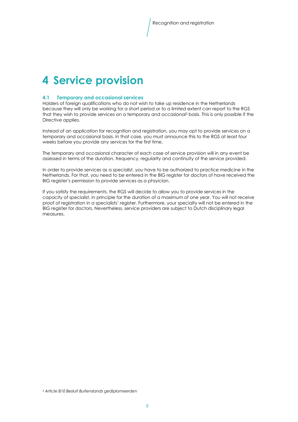### 4 Service provision

#### 4.1 Temporary and occasional services

Holders of foreign qualifications who do not wish to take up residence in the Netherlands because they will only be working for a short period or to a limited extent can report to the RGS that they wish to provide services on a temporary and occasional<sup>3</sup> basis. This is only possible if the Directive applies.

Instead of an application for recognition and registration, you may opt to provide services on a temporary and occasional basis. In that case, you must announce this to the RGS at least four weeks before you provide any services for the first time.

The temporary and occasional character of each case of service provision will in any event be assessed in terms of the duration, frequency, regularity and continuity of the service provided.

In order to provide services as a specialist, you have to be authorized to practice medicine in the Netherlands. For that, you need to be entered in the BIG register for doctors of have received the BIG register's permission to provide services as a phsyician.

If you satisfy the requirements, the RGS will decide to allow you to provide services in the capacity of specialist, in principle for the duration of a maximum of one year. You will not receive proof of registration in a specialists' register. Furthermore, your specialty will not be entered in the BIG register for doctors. Nevertheless, service providers are subject to Dutch disciplinary legal measures.

3 Article B10 Besluit Buitenslands gediplomeerden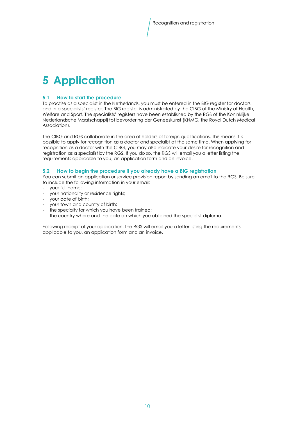## 5 Application

#### 5.1 How to start the procedure

To practise as a specialist in the Netherlands, you must be entered in the BIG register for doctors and in a specialists' register. The BIG register is administrated by the CIBG of the Ministry of Health, Welfare and Sport. The specialists' registers have been established by the RGS of the Koninklijke Nederlandsche Maatschappij tot bevordering der Geneeskunst (KNMG, the Royal Dutch Medical Association).

The CIBG and RGS collaborate in the area of holders of foreign qualifications. This means it is possible to apply for recognition as a doctor and specialist at the same time. When applying for recognition as a doctor with the CIBG, you may also indicate your desire for recognition and registration as a specialist by the RGS. If you do so, the RGS will email you a letter listing the requirements applicable to you, an application form and an invoice.

#### 5.2 How to begin the procedure if you already have a BIG registration

You can submit an application or service provision report by sending an email to the RGS. Be sure to include the following information in your email:

- your full name;
- your nationality or residence rights;
- your date of birth;
- your town and country of birth;
- the specialty for which you have been trained;
- the country where and the date on which you obtained the specialist diploma.

Following receipt of your application, the RGS will email you a letter listing the requirements applicable to you, an application form and an invoice.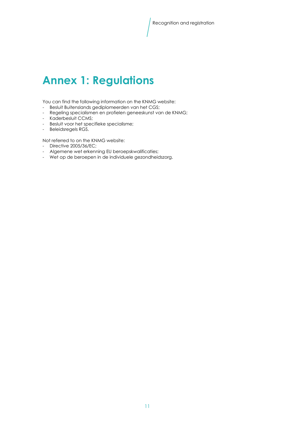### Annex 1: Regulations

You can find the following information on the KNMG website:

- Besluit Buitenslands gediplomeerden van het CGS;
- Regeling specialismen en profielen geneeskunst van de KNMG;
- Kaderbesluit CCMS;
- Besluit voor het specifieke specialisme;
- Beleidsregels RGS.

Not referred to on the KNMG website:

- Directive 2005/36/EC;
- Algemene wet erkenning EU beroepskwalificaties;
- Wet op de beroepen in de individuele gezondheidszorg.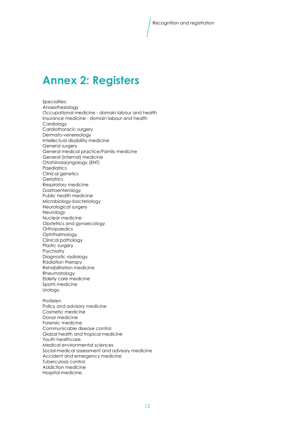### Annex 2: Registers

Specialties: Anaesthesiology Occupational medicine - domain labour and health Insurance medicine - domain labour and health Cardiology Cardiothoracic surgery Dermato-venereology Intellectual disabilitiy medicine General surgery General medical practice/Family medicine General (internal) medicine Otorhinolaryngology (ENT) **Paediatrics** Clinical genetics **Geriatrics** Respiratory medicine Gastroenterology Public health medicine Microbiology-bacteriology Neurological surgery Neurology Nuclear medicine Obstetrics and gynaecology **Orthopaedics Ophthalmology** Clinical pathology Plastic surgery **Psychiatry** Diagnostic radiology Radiation therapy Rehabilitation medicine Rheumatology Elderly care medicine Sports medicine Urology. Profielen Policy and advisory medicine Cosmetic medicine Donor medicine Forensic medicine Communicable disease control Global health and tropical medicine Youth healthcare Medical environmental sciences Social-medical assessment and advisory medicine Accident and emergency medicine

Tuberculosis control Addiction medicine

Hospital medicine.